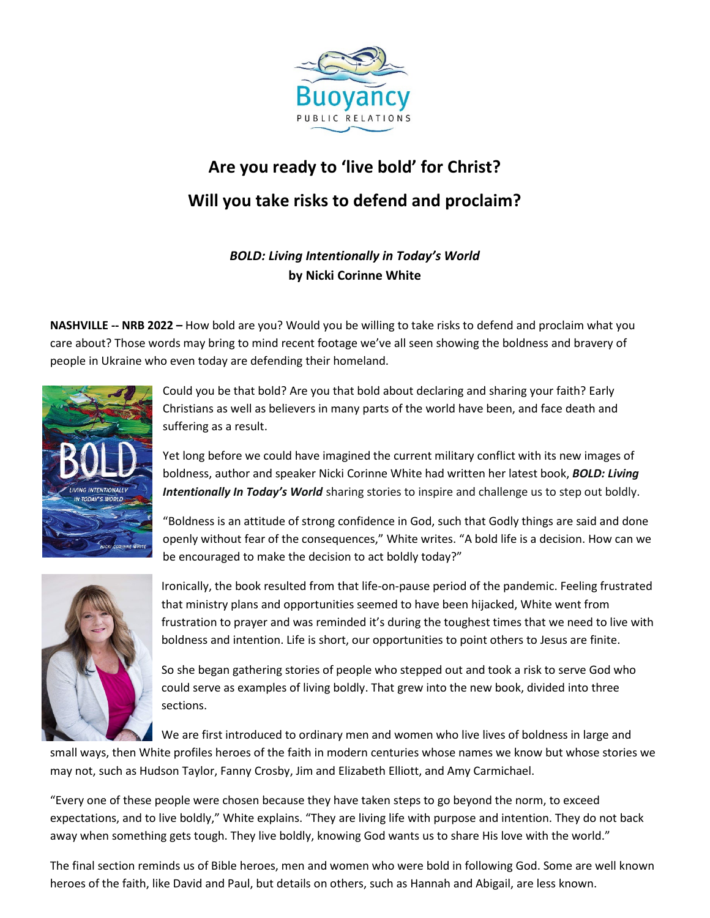

# **Are you ready to 'live bold' for Christ? Will you take risks to defend and proclaim?**

#### *BOLD: Living Intentionally in Today's World* **by Nicki Corinne White**

**NASHVILLE -- NRB 2022 –** How bold are you? Would you be willing to take risks to defend and proclaim what you care about? Those words may bring to mind recent footage we've all seen showing the boldness and bravery of people in Ukraine who even today are defending their homeland.



Could you be that bold? Are you that bold about declaring and sharing your faith? Early Christians as well as believers in many parts of the world have been, and face death and suffering as a result.

Yet long before we could have imagined the current military conflict with its new images of boldness, author and speaker Nicki Corinne White had written her latest book, *BOLD: Living Intentionally In Today's World* sharing stories to inspire and challenge us to step out boldly.

"Boldness is an attitude of strong confidence in God, such that Godly things are said and done openly without fear of the consequences," White writes. "A bold life is a decision. How can we be encouraged to make the decision to act boldly today?"



Ironically, the book resulted from that life-on-pause period of the pandemic. Feeling frustrated that ministry plans and opportunities seemed to have been hijacked, White went from frustration to prayer and was reminded it's during the toughest times that we need to live with boldness and intention. Life is short, our opportunities to point others to Jesus are finite.

So she began gathering stories of people who stepped out and took a risk to serve God who could serve as examples of living boldly. That grew into the new book, divided into three sections.

We are first introduced to ordinary men and women who live lives of boldness in large and

small ways, then White profiles heroes of the faith in modern centuries whose names we know but whose stories we may not, such as Hudson Taylor, Fanny Crosby, Jim and Elizabeth Elliott, and Amy Carmichael.

"Every one of these people were chosen because they have taken steps to go beyond the norm, to exceed expectations, and to live boldly," White explains. "They are living life with purpose and intention. They do not back away when something gets tough. They live boldly, knowing God wants us to share His love with the world."

The final section reminds us of Bible heroes, men and women who were bold in following God. Some are well known heroes of the faith, like David and Paul, but details on others, such as Hannah and Abigail, are less known.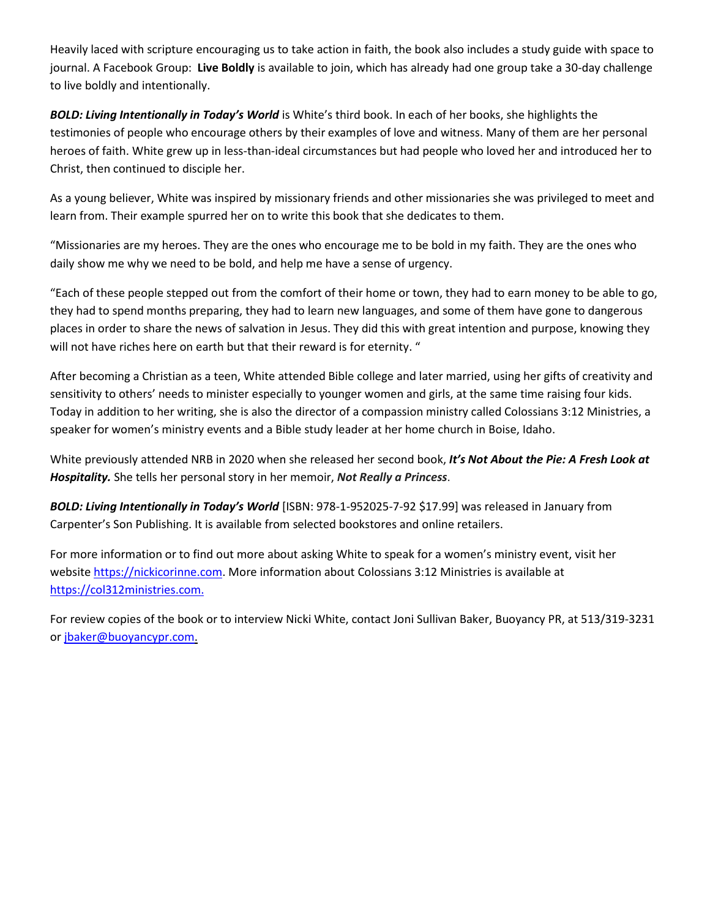Heavily laced with scripture encouraging us to take action in faith, the book also includes a study guide with space to journal. A Facebook Group: **Live Boldly** is available to join, which has already had one group take a 30-day challenge to live boldly and intentionally.

*BOLD: Living Intentionally in Today's World* is White's third book. In each of her books, she highlights the testimonies of people who encourage others by their examples of love and witness. Many of them are her personal heroes of faith. White grew up in less-than-ideal circumstances but had people who loved her and introduced her to Christ, then continued to disciple her.

As a young believer, White was inspired by missionary friends and other missionaries she was privileged to meet and learn from. Their example spurred her on to write this book that she dedicates to them.

"Missionaries are my heroes. They are the ones who encourage me to be bold in my faith. They are the ones who daily show me why we need to be bold, and help me have a sense of urgency.

"Each of these people stepped out from the comfort of their home or town, they had to earn money to be able to go, they had to spend months preparing, they had to learn new languages, and some of them have gone to dangerous places in order to share the news of salvation in Jesus. They did this with great intention and purpose, knowing they will not have riches here on earth but that their reward is for eternity. "

After becoming a Christian as a teen, White attended Bible college and later married, using her gifts of creativity and sensitivity to others' needs to minister especially to younger women and girls, at the same time raising four kids. Today in addition to her writing, she is also the director of a compassion ministry called Colossians 3:12 Ministries, a speaker for women's ministry events and a Bible study leader at her home church in Boise, Idaho.

White previously attended NRB in 2020 when she released her second book, *It's Not About the Pie: A Fresh Look at Hospitality.* She tells her personal story in her memoir, *Not Really a Princess*.

*BOLD: Living Intentionally in Today's World* [ISBN: 978-1-952025-7-92 \$17.99] was released in January from Carpenter's Son Publishing. It is available from selected bookstores and online retailers.

For more information or to find out more about asking White to speak for a women's ministry event, visit her website [https://nickicorinne.com.](https://nickicorinne.com/) More information about Colossians 3:12 Ministries is available at [https://col312ministries.com.](https://col312ministries.com/)

For review copies of the book or to interview Nicki White, contact Joni Sullivan Baker, Buoyancy PR, at 513/319-3231 or [jbaker@buoyancypr.com.](mailto:jbaker@buoyancypr.com)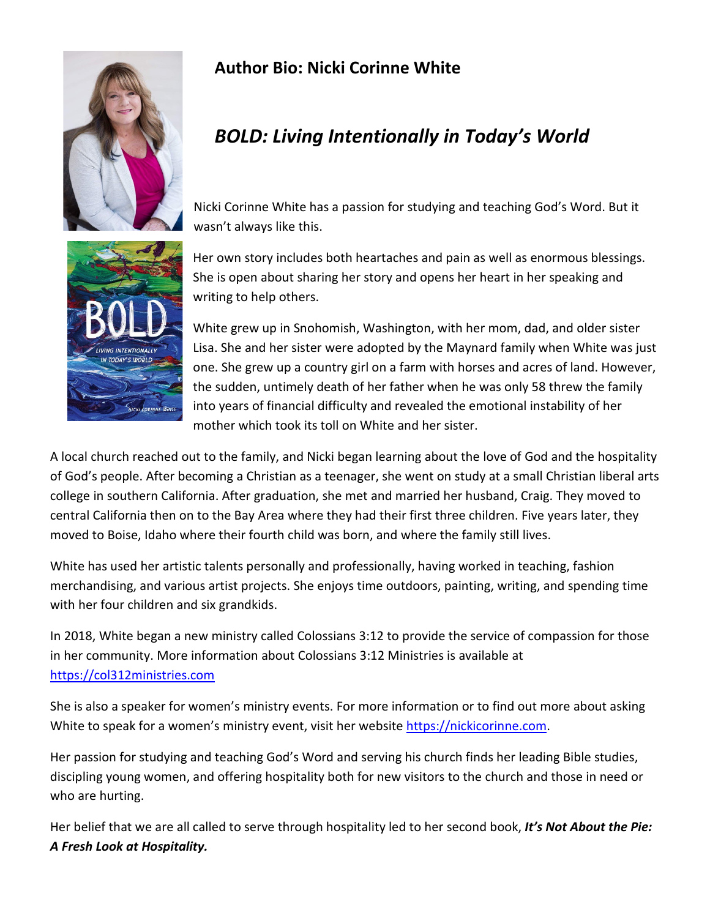

### **Author Bio: Nicki Corinne White**

## *BOLD: Living Intentionally in Today's World*

Nicki Corinne White has a passion for studying and teaching God's Word. But it wasn't always like this.

Her own story includes both heartaches and pain as well as enormous blessings. She is open about sharing her story and opens her heart in her speaking and writing to help others.

White grew up in Snohomish, Washington, with her mom, dad, and older sister Lisa. She and her sister were adopted by the Maynard family when White was just one. She grew up a country girl on a farm with horses and acres of land. However, the sudden, untimely death of her father when he was only 58 threw the family into years of financial difficulty and revealed the emotional instability of her mother which took its toll on White and her sister.

A local church reached out to the family, and Nicki began learning about the love of God and the hospitality of God's people. After becoming a Christian as a teenager, she went on study at a small Christian liberal arts college in southern California. After graduation, she met and married her husband, Craig. They moved to central California then on to the Bay Area where they had their first three children. Five years later, they moved to Boise, Idaho where their fourth child was born, and where the family still lives.

White has used her artistic talents personally and professionally, having worked in teaching, fashion merchandising, and various artist projects. She enjoys time outdoors, painting, writing, and spending time with her four children and six grandkids.

In 2018, White began a new ministry called Colossians 3:12 to provide the service of compassion for those in her community. More information about Colossians 3:12 Ministries is available at [https://col312ministries.com](https://col312ministries.com/)

She is also a speaker for women's ministry events. For more information or to find out more about asking White to speak for a women's ministry event, visit her website [https://nickicorinne.com.](https://nickicorinne.com/)

Her passion for studying and teaching God's Word and serving his church finds her leading Bible studies, discipling young women, and offering hospitality both for new visitors to the church and those in need or who are hurting.

Her belief that we are all called to serve through hospitality led to her second book, *It's Not About the Pie: A Fresh Look at Hospitality.* 

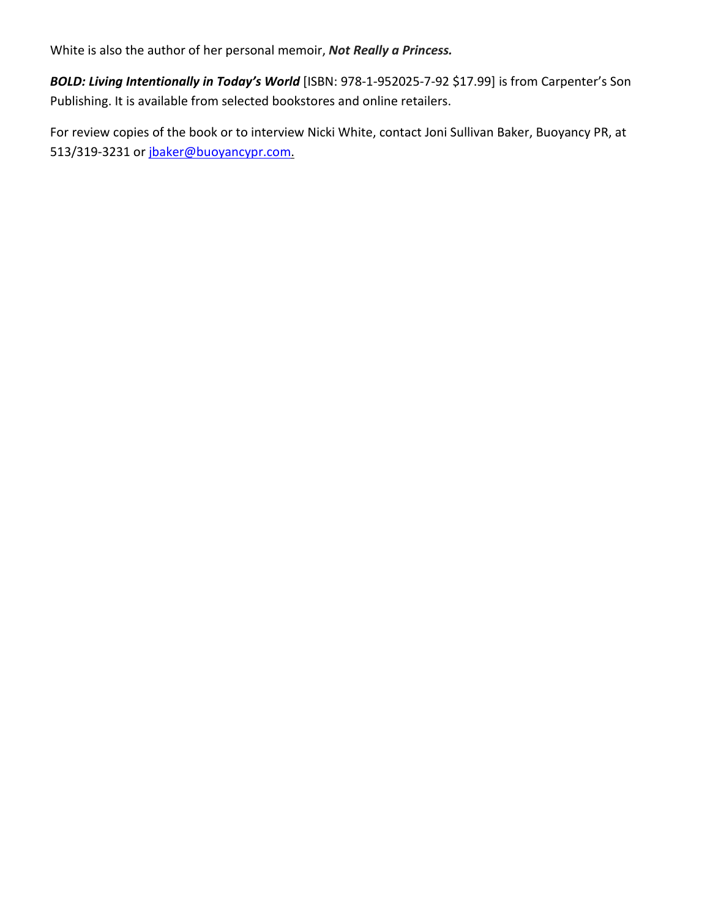White is also the author of her personal memoir, *Not Really a Princess.*

*BOLD: Living Intentionally in Today's World* [ISBN: 978-1-952025-7-92 \$17.99] is from Carpenter's Son Publishing. It is available from selected bookstores and online retailers.

For review copies of the book or to interview Nicki White, contact Joni Sullivan Baker, Buoyancy PR, at 513/319-3231 or [jbaker@buoyancypr.com.](mailto:jbaker@buoyancypr.com)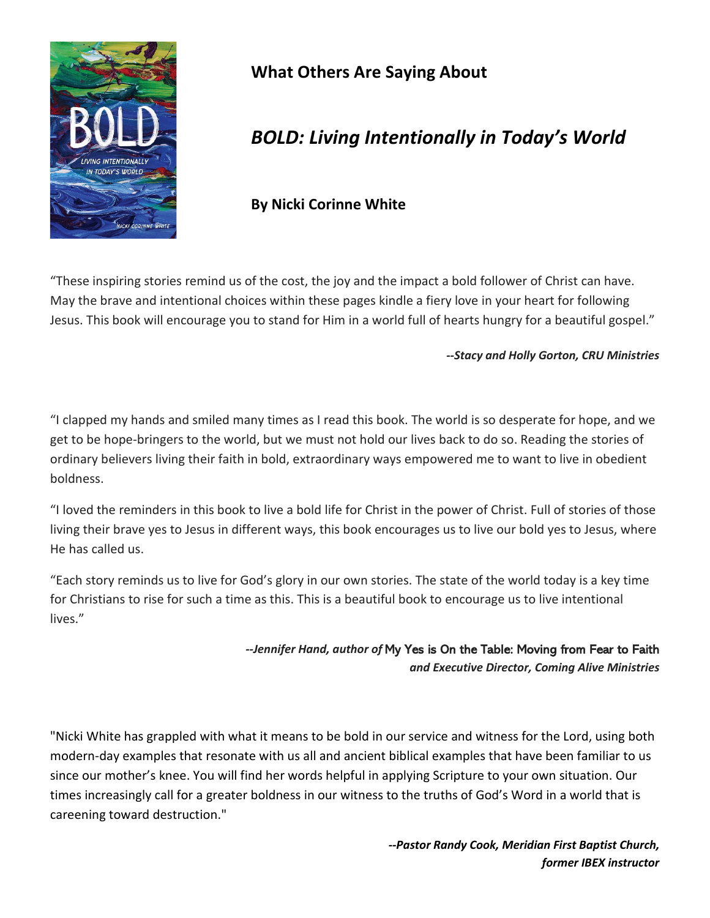

## **What Others Are Saying About**

## *BOLD: Living Intentionally in Today's World*

#### **By Nicki Corinne White**

"These inspiring stories remind us of the cost, the joy and the impact a bold follower of Christ can have. May the brave and intentional choices within these pages kindle a fiery love in your heart for following Jesus. This book will encourage you to stand for Him in a world full of hearts hungry for a beautiful gospel."

*--Stacy and Holly Gorton, CRU Ministries*

"I clapped my hands and smiled many times as I read this book. The world is so desperate for hope, and we get to be hope-bringers to the world, but we must not hold our lives back to do so. Reading the stories of ordinary believers living their faith in bold, extraordinary ways empowered me to want to live in obedient boldness.

"I loved the reminders in this book to live a bold life for Christ in the power of Christ. Full of stories of those living their brave yes to Jesus in different ways, this book encourages us to live our bold yes to Jesus, where He has called us.

"Each story reminds us to live for God's glory in our own stories. The state of the world today is a key time for Christians to rise for such a time as this. This is a beautiful book to encourage us to live intentional lives."

> *--Jennifer Hand, author of* My Yes is On the Table: Moving from Fear to Faith *and Executive Director, Coming Alive Ministries*

"Nicki White has grappled with what it means to be bold in our service and witness for the Lord, using both modern-day examples that resonate with us all and ancient biblical examples that have been familiar to us since our mother's knee. You will find her words helpful in applying Scripture to your own situation. Our times increasingly call for a greater boldness in our witness to the truths of God's Word in a world that is careening toward destruction."

> *--Pastor Randy Cook, Meridian First Baptist Church, former IBEX instructor*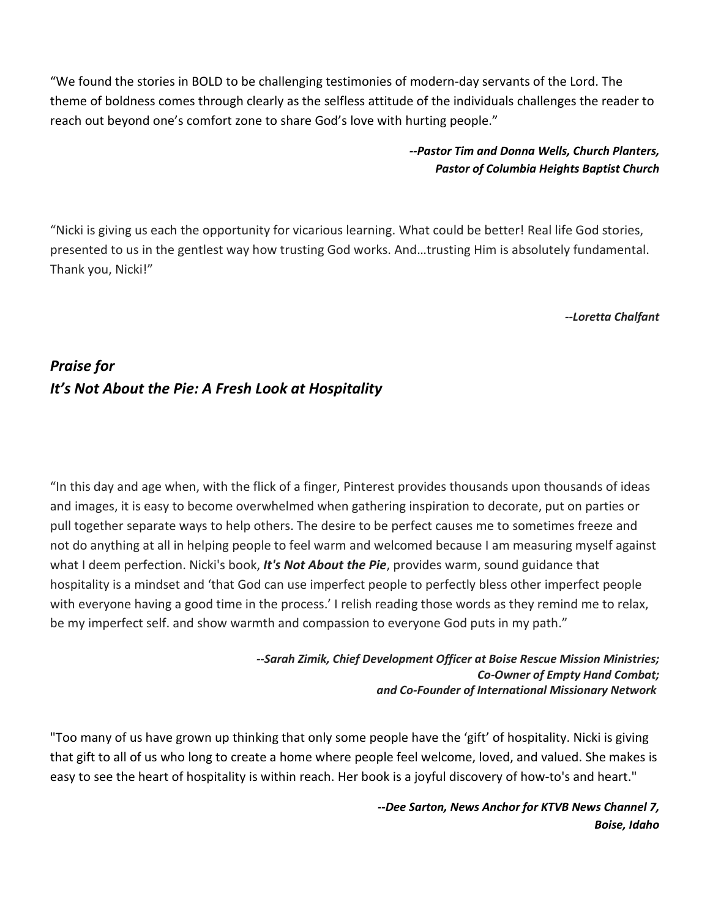"We found the stories in BOLD to be challenging testimonies of modern-day servants of the Lord. The theme of boldness comes through clearly as the selfless attitude of the individuals challenges the reader to reach out beyond one's comfort zone to share God's love with hurting people."

#### *--Pastor Tim and Donna Wells, Church Planters, Pastor of Columbia Heights Baptist Church*

"Nicki is giving us each the opportunity for vicarious learning. What could be better! Real life God stories, presented to us in the gentlest way how trusting God works. And…trusting Him is absolutely fundamental. Thank you, Nicki!"

*--Loretta Chalfant*

## *Praise for It's Not About the Pie: A Fresh Look at Hospitality*

"In this day and age when, with the flick of a finger, Pinterest provides thousands upon thousands of ideas and images, it is easy to become overwhelmed when gathering inspiration to decorate, put on parties or pull together separate ways to help others. The desire to be perfect causes me to sometimes freeze and not do anything at all in helping people to feel warm and welcomed because I am measuring myself against what I deem perfection. Nicki's book, *It's Not About the Pie*, provides warm, sound guidance that hospitality is a mindset and 'that God can use imperfect people to perfectly bless other imperfect people with everyone having a good time in the process.' I relish reading those words as they remind me to relax, be my imperfect self. and show warmth and compassion to everyone God puts in my path."

> *--Sarah Zimik, Chief Development Officer at Boise Rescue Mission Ministries; Co-Owner of Empty Hand Combat; and Co-Founder of International Missionary Network*

"Too many of us have grown up thinking that only some people have the 'gift' of hospitality. Nicki is giving that gift to all of us who long to create a home where people feel welcome, loved, and valued. She makes is easy to see the heart of hospitality is within reach. Her book is a joyful discovery of how-to's and heart."

> *--Dee Sarton, News Anchor for KTVB News Channel 7, Boise, Idaho*